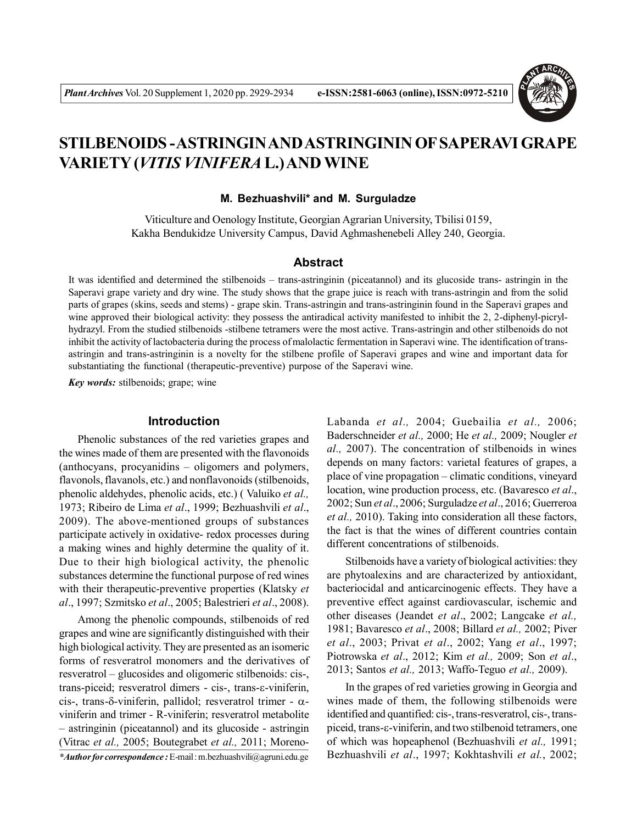

# **STILBENOIDS - ASTRINGIN AND ASTRINGININ OF SAPERAVI GRAPE VARIETY (***VITIS VINIFERA* **L.) AND WINE**

#### **M. Bezhuashvili\* and M. Surguladze**

Viticulture and Oenology Institute, Georgian Agrarian University, Tbilisi 0159, Kakha Bendukidze University Campus, David Aghmashenebeli Alley 240, Georgia.

#### **Abstract**

It was identified and determined the stilbenoids – trans-astringinin (piceatannol) and its glucoside trans- astringin in the Saperavi grape variety and dry wine. The study shows that the grape juice is reach with trans-astringin and from the solid parts of grapes (skins, seeds and stems) - grape skin. Trans-astringin and trans-astringinin found in the Saperavi grapes and wine approved their biological activity: they possess the antiradical activity manifested to inhibit the 2, 2-diphenyl-picrylhydrazyl. From the studied stilbenoids -stilbene tetramers were the most active. Trans-astringin and other stilbenoids do not inhibit the activity of lactobacteria during the process of malolactic fermentation in Saperavi wine. The identification of transastringin and trans-astringinin is a novelty for the stilbene profile of Saperavi grapes and wine and important data for substantiating the functional (therapeutic-preventive) purpose of the Saperavi wine.

*Key words:* stilbenoids; grape; wine

## **Introduction**

Phenolic substances of the red varieties grapes and the wines made of them are presented with the flavonoids (anthocyans, procyanidins – oligomers and polymers, flavonols, flavanols, etc.) and nonflavonoids (stilbenoids, phenolic aldehydes, phenolic acids, etc.) ( Valuiko *et al.,* 1973; Ribeiro de Lima *et al*., 1999; Bezhuashvili *et al*., 2009). The above-mentioned groups of substances participate actively in oxidative- redox processes during a making wines and highly determine the quality of it. Due to their high biological activity, the phenolic substances determine the functional purpose of red wines with their therapeutic-preventive properties (Klatsky *et al*., 1997; Szmitsko *et al*., 2005; Balestrieri *et al*., 2008).

Among the phenolic compounds, stilbenoids of red grapes and wine are significantly distinguished with their high biological activity. They are presented as an isomeric forms of resveratrol monomers and the derivatives of resveratrol – glucosides and oligomeric stilbenoids: cis-, trans-piceid; resveratrol dimers - cis-, trans- $\varepsilon$ -viniferin, cis-, trans- $\delta$ -viniferin, pallidol; resveratrol trimer -  $\alpha$ viniferin and trimer - R-viniferin; resveratrol metabolite – astringinin (piceatannol) and its glucoside - astringin (Vitrac *et al.,* 2005; Boutegrabet *et al.,* 2011; Moreno-

*\*Author for correspondence :* E-mail : m.bezhuashvili@agruni.edu.ge

Labanda *et al.,* 2004; Guebailia *et al.,* 2006; Baderschneider *et al.,* 2000; He *et al.,* 2009; Nougler *et al.,* 2007). The concentration of stilbenoids in wines depends on many factors: varietal features of grapes, a place of vine propagation – climatic conditions, vineyard location, wine production process, etc. (Bavaresco *et al*., 2002; Sun *et al*., 2006; Surguladze *et al*., 2016; Guerreroa *et al.,* 2010). Taking into consideration all these factors, the fact is that the wines of different countries contain different concentrations of stilbenoids.

Stilbenoids have a variety of biological activities: they are phytoalexins and are characterized by antioxidant, bacteriocidal and anticarcinogenic effects. They have a preventive effect against cardiovascular, ischemic and other diseases (Jeandet *et al*., 2002; Langcake *et al.,* 1981; Bavaresco *et al*., 2008; Billard *et al.,* 2002; Piver *et al*., 2003; Privat *et al*., 2002; Yang *et al*., 1997; Piotrowska *et al*., 2012; Kim *et al.,* 2009; Son *et al*., 2013; Santos *et al.,* 2013; Waffo-Teguo *et al.,* 2009).

In the grapes of red varieties growing in Georgia and wines made of them, the following stilbenoids were identified and quantified: cis-, trans-resveratrol, cis-, transpiceid, trans- $\varepsilon$ -viniferin, and two stilbenoid tetramers, one of which was hopeaphenol (Bezhuashvili *et al.,* 1991; Bezhuashvili *et al*., 1997; Kokhtashvili *et al.*, 2002;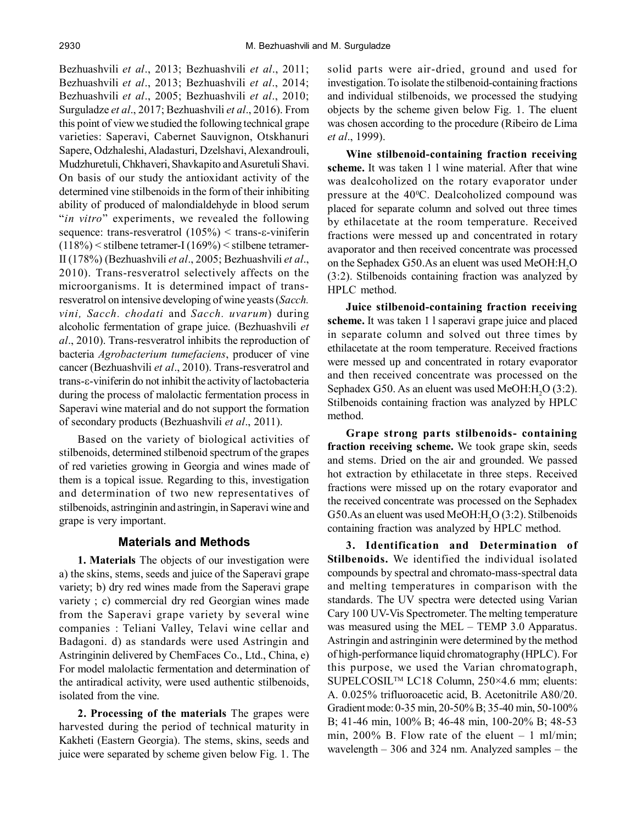Bezhuashvili *et al*., 2013; Bezhuashvili *et al*., 2011; Bezhuashvili *et al*., 2013; Bezhuashvili *et al*., 2014; Bezhuashvili *et al*., 2005; Bezhuashvili *et al*., 2010; Surguladze *et al*., 2017; Bezhuashvili *et al*., 2016). From this point of view we studied the following technical grape varieties: Saperavi, Cabernet Sauvignon, Otskhanuri Sapere, Odzhaleshi, Aladasturi, Dzelshavi, Alexandrouli, Mudzhuretuli, Chkhaveri, Shavkapito and Asuretuli Shavi. On basis of our study the antioxidant activity of the determined vine stilbenoids in the form of their inhibiting ability of produced of malondialdehyde in blood serum "*in vitro*" experiments, we revealed the following sequence: trans-resveratrol  $(105\%)$  < trans- $\varepsilon$ -viniferin (118%) < stilbene tetramer-I (169%) < stilbene tetramer-II (178%) (Bezhuashvili *et al*., 2005; Bezhuashvili *et al*., 2010). Trans-resveratrol selectively affects on the microorganisms. It is determined impact of transresveratrol on intensive developing of wine yeasts (*Sacch. vini, Sacch. chodati* and *Sacch. uvarum*) during alcoholic fermentation of grape juice. (Bezhuashvili *et al*., 2010). Trans-resveratrol inhibits the reproduction of bacteria *Agrobacterium tumefaciens*, producer of vine cancer (Bezhuashvili *et al*., 2010). Trans-resveratrol and trans- $\varepsilon$ -viniferin do not inhibit the activity of lactobacteria during the process of malolactic fermentation process in Saperavi wine material and do not support the formation of secondary products (Bezhuashvili *et al*., 2011).

Based on the variety of biological activities of stilbenoids, determined stilbenoid spectrum of the grapes of red varieties growing in Georgia and wines made of them is a topical issue. Regarding to this, investigation and determination of two new representatives of stilbenoids, astringinin and astringin, in Saperavi wine and grape is very important.

## **Materials and Methods**

**1. Materials** The objects of our investigation were a) the skins, stems, seeds and juice of the Saperavi grape variety; b) dry red wines made from the Saperavi grape variety ; c) commercial dry red Georgian wines made from the Saperavi grape variety by several wine companies : Teliani Valley, Telavi wine cellar and Badagoni. d) as standards were used Astringin and Astringinin delivered by ChemFaces Co., Ltd., China, e) For model malolactic fermentation and determination of the antiradical activity, were used authentic stilbenoids, isolated from the vine.

**2. Processing of the materials** The grapes were harvested during the period of technical maturity in Kakheti (Eastern Georgia). The stems, skins, seeds and juice were separated by scheme given below Fig. 1. The solid parts were air-dried, ground and used for investigation. To isolate the stilbenoid-containing fractions and individual stilbenoids, we processed the studying objects by the scheme given below Fig. 1. The eluent was chosen according to the procedure (Ribeiro de Lima *et al*., 1999).

**Wine stilbenoid-containing fraction receiving scheme.** It was taken 1 l wine material. After that wine was dealcoholized on the rotary evaporator under pressure at the 40°C. Dealcoholized compound was placed for separate column and solved out three times by ethilacetate at the room temperature. Received fractions were messed up and concentrated in rotary avaporator and then received concentrate was processed on the Sephadex G50.As an eluent was used MeOH:H<sub>2</sub>O (3:2). Stilbenoids containing fraction was analyzed by HPLC method.

**Juice stilbenoid-containing fraction receiving scheme.** It was taken 1 l saperavi grape juice and placed in separate column and solved out three times by ethilacetate at the room temperature. Received fractions were messed up and concentrated in rotary evaporator and then received concentrate was processed on the Sephadex G50. As an eluent was used MeOH:H<sub>2</sub>O (3:2). Stilbenoids containing fraction was analyzed by HPLC method.

**Grape strong parts stilbenoids- containing fraction receiving scheme.** We took grape skin, seeds and stems. Dried on the air and grounded. We passed hot extraction by ethilacetate in three steps. Received fractions were missed up on the rotary evaporator and the received concentrate was processed on the Sephadex G50.As an eluent was used MeOH:H<sub>2</sub>O (3:2). Stilbenoids containing fraction was analyzed by HPLC method.

**3. Identification and Determination of Stilbenoids.** We identified the individual isolated compounds by spectral and chromato-mass-spectral data and melting temperatures in comparison with the standards. The UV spectra were detected using Varian Cary 100 UV-Vis Spectrometer. The melting temperature was measured using the MEL – TEMP 3.0 Apparatus. Astringin and astringinin were determined by the method of high-performance liquid chromatography (HPLC). For this purpose, we used the Varian chromatograph, SUPELCOSILTM LC18 Column, 250×4.6 mm; eluents: A. 0.025% trifluoroacetic acid, B. Acetonitrile A80/20. Gradient mode: 0-35 min, 20-50% B; 35-40 min, 50-100% B; 41-46 min, 100% B; 46-48 min, 100-20% B; 48-53 min,  $200\%$  B. Flow rate of the eluent  $-1$  ml/min; wavelength – 306 and 324 nm. Analyzed samples – the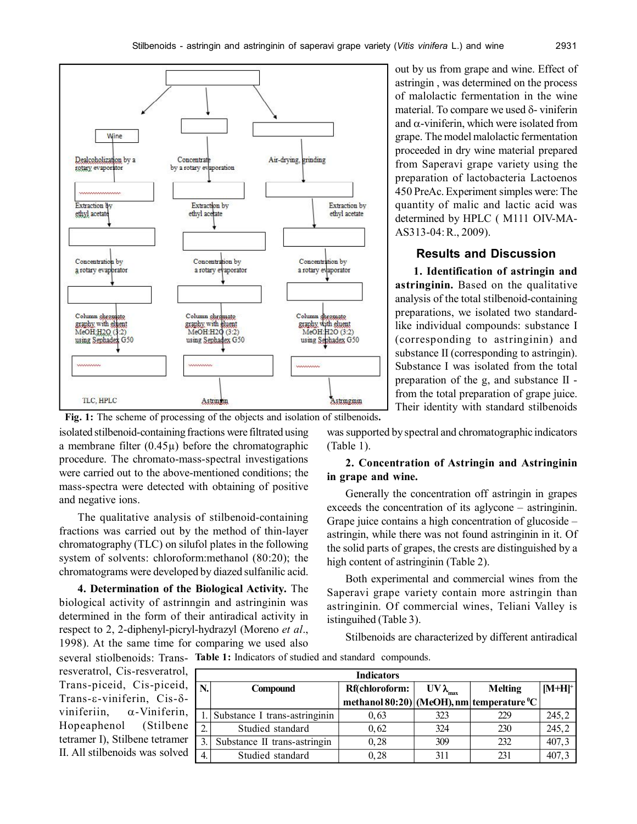

**Fig. 1:** The scheme of processing of the objects and isolation of stilbenoids**.** isolated stilbenoid-containing fractions were filtrated using a membrane filter  $(0.45\mu)$  before the chromatographic procedure. The chromato-mass-spectral investigations were carried out to the above-mentioned conditions; the mass-spectra were detected with obtaining of positive and negative ions.

The qualitative analysis of stilbenoid-containing fractions was carried out by the method of thin-layer chromatography (TLC) on silufol plates in the following system of solvents: chloroform:methanol (80:20); the chromatograms were developed by diazed sulfanilic acid.

**4. Determination of the Biological Activity.** The biological activity of astrinngin and astringinin was determined in the form of their antiradical activity in respect to 2, 2-diphenyl-picryl-hydrazyl (Moreno *et al*., 1998). At the same time for comparing we used also

several stiolbenoids: Trans- Table 1: Indicators of studied and standard compounds. resveratrol, Cis-resveratrol, Trans-piceid, Cis-piceid, Trans- $\varepsilon$ -viniferin, Cis- $\delta$ viniferiin,  $\alpha$ -Viniferin, Hopeaphenol (Stilbene tetramer I), Stilbene tetramer II. All stilbenoids was solved

| <b>Indicators</b> |                               |                                                        |                    |                |           |
|-------------------|-------------------------------|--------------------------------------------------------|--------------------|----------------|-----------|
| N.                | <b>Compound</b>               | Rf(chloroform:                                         | $UV \lambda_{max}$ | <b>Melting</b> | $[M+H]^+$ |
|                   |                               | methanol $80:20$ (MeOH), nm temperature <sup>o</sup> C |                    |                |           |
|                   | Substance I trans-astringinin | 0,63                                                   | 323                | 229            | 245, 2    |
| 2.                | Studied standard              | 0,62                                                   | 324                | 230            | 245,2     |
| 3.                | Substance II trans-astringin  | 0,28                                                   | 309                | 232            | 407,3     |
| $\overline{4}$ .  | Studied standard              | 0,28                                                   | 311                | 231            | 407,3     |

out by us from grape and wine. Effect of astringin , was determined on the process of malolactic fermentation in the wine material. To compare we used  $\delta$ - viniferin and  $\alpha$ -viniferin, which were isolated from grape. The model malolactic fermentation proceeded in dry wine material prepared from Saperavi grape variety using the preparation of lactobacteria Lactoenos 450 PreAc. Experiment simples were: The quantity of malic and lactic acid was determined by HPLC ( M111 OIV-MA-AS313-04: R., 2009).

## **Results and Discussion**

**1. Identification of astringin and astringinin.** Based on the qualitative analysis of the total stilbenoid-containing preparations, we isolated two standardlike individual compounds: substance I (corresponding to astringinin) and substance II (corresponding to astringin). Substance I was isolated from the total preparation of the g, and substance II from the total preparation of grape juice. Their identity with standard stilbenoids

was supported by spectral and chromatographic indicators (Table 1).

#### **2. Concentration of Astringin and Astringinin in grape and wine.**

Generally the concentration off astringin in grapes exceeds the concentration of its aglycone – astringinin. Grape juice contains a high concentration of glucoside – astringin, while there was not found astringinin in it. Of the solid parts of grapes, the crests are distinguished by a high content of astringinin (Table 2).

Both experimental and commercial wines from the Saperavi grape variety contain more astringin than astringinin. Of commercial wines, Teliani Valley is istinguihed (Table 3).

Stilbenoids are characterized by different antiradical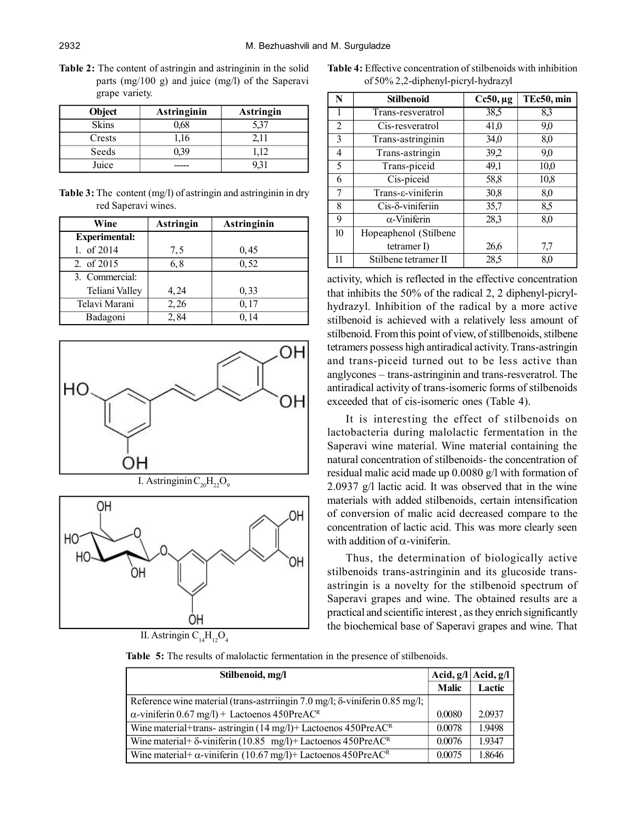**Table 2:** The content of astringin and astringinin in the solid parts (mg/100 g) and juice (mg/l) of the Saperavi grape variety.

| Object       | <b>Astringinin</b> | <b>Astringin</b> |
|--------------|--------------------|------------------|
| <b>Skins</b> | 0.68               |                  |
| Crests       | 1.16               |                  |
| Seeds        |                    |                  |
| Juice        |                    |                  |

**Table 3:** The content (mg/l) of astringin and astringinin in dry red Saperavi wines.

| Wine                 | <b>Astringin</b> | <b>Astringinin</b> |
|----------------------|------------------|--------------------|
| <b>Experimental:</b> |                  |                    |
| 1. of 2014           | 7,5              | 0,45               |
| 2. of 2015           | 6,8              | 0,52               |
| 3. Commercial:       |                  |                    |
| Teliani Valley       | 4,24             | 0.33               |
| Telavi Marani        | 2,26             | 0,17               |
| Badagoni             | 2,84             | 0, 14              |







OΗ

**Table 4:** Effective concentration of stilbenoids with inhibition of 50% 2,2-diphenyl-picryl-hydrazyl

| N                | <b>Stilbenoid</b>     | $Cc50, \mu g$ | TEc50, min |
|------------------|-----------------------|---------------|------------|
|                  | Trans-resveratrol     | 38,5          | 8,3        |
| $\overline{2}$   | Cis-resveratrol       | 41,0          | 9,0        |
| 3                | Trans-astringinin     | 34,0          | 8,0        |
| 4                | Trans-astringin       | 39,2          | 9.0        |
| 5                | Trans-piceid          | 49,1          | 10,0       |
| 6                | Cis-piceid            | 58,8          | 10,8       |
| 7                | Trans-ε-viniferin     | 30,8          | 8,0        |
| 8                | Cis-δ-viniferiin      | 35,7          | 8,5        |
| 9                | $\alpha$ -Viniferin   | 28,3          | 8,0        |
| 10 <sup>10</sup> | Hopeaphenol (Stilbene |               |            |
|                  | tetramer $I$ )        | 26,6          | 7,7        |
| 11               | Stilbene tetramer II  | 28.5          | 8.0        |

activity, which is reflected in the effective concentration that inhibits the 50% of the radical 2, 2 diphenyl-picrylhydrazyl. Inhibition of the radical by a more active stilbenoid is achieved with a relatively less amount of stilbenoid. From this point of view, of stillbenoids, stilbene tetramers possess high antiradical activity. Trans-astringin and trans-piceid turned out to be less active than anglycones – trans-astringinin and trans-resveratrol. The antiradical activity of trans-isomeric forms of stilbenoids exceeded that of cis-isomeric ones (Table 4).

It is interesting the effect of stilbenoids on lactobacteria during malolactic fermentation in the Saperavi wine material. Wine material containing the natural concentration of stilbenoids- the concentration of residual malic acid made up 0.0080 g/l with formation of 2.0937 g/l lactic acid. It was observed that in the wine materials with added stilbenoids, certain intensification of conversion of malic acid decreased compare to the concentration of lactic acid. This was more clearly seen with addition of  $\alpha$ -viniferin.

Thus, the determination of biologically active stilbenoids trans-astringinin and its glucoside transastringin is a novelty for the stilbenoid spectrum of Saperavi grapes and wine. The obtained results are a practical and scientific interest , as they enrich significantly the biochemical base of Saperavi grapes and wine. That

| Stilbenoid, mg/l                                                                        |              | Acid, $g/l$ Acid, $g/l$ |
|-----------------------------------------------------------------------------------------|--------------|-------------------------|
|                                                                                         | <b>Malic</b> | <b>Lactic</b>           |
| Reference wine material (trans-astrring in 7.0 mg/l; $\delta$ -vinifer in 0.85 mg/l;    |              |                         |
| $\alpha$ -viniferin 0.67 mg/l) + Lactoenos 450PreAC <sup>R</sup>                        | 0.0080       | 2.0937                  |
| Wine material+trans- astringin $(14 \text{ mg/l})$ + Lactoenos $450$ PreAC <sup>R</sup> | 0.0078       | 1.9498                  |
| Wine material + $\delta$ -viniferin (10.85 mg/l) + Lactoenos 450PreACR                  | 0.0076       | 1.9347                  |
| Wine material + $\alpha$ -viniferin (10.67 mg/l) + Lactoenos 450PreAC <sup>R</sup>      | 0.0075       | 1.8646                  |

**Table 5:** The results of malolactic fermentation in the presence of stilbenoids.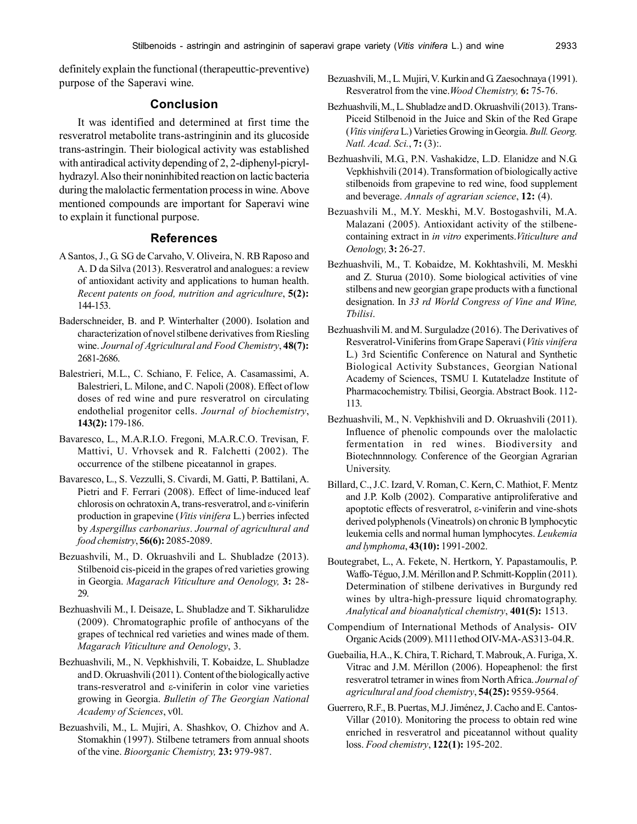definitely explain the functional (therapeuttic-preventive) purpose of the Saperavi wine.

## **Conclusion**

It was identified and determined at first time the resveratrol metabolite trans-astringinin and its glucoside trans-astringin. Their biological activity was established with antiradical activity depending of 2, 2-diphenyl-picrylhydrazyl. Also their noninhibited reaction on lactic bacteria during the malolactic fermentation process in wine. Above mentioned compounds are important for Saperavi wine to explain it functional purpose.

## **References**

- A Santos, J., G. SG de Carvaho, V. Oliveira, N. RB Raposo and A. D da Silva (2013). Resveratrol and analogues: a review of antioxidant activity and applications to human health. *Recent patents on food, nutrition and agriculture*, **5(2):** 144-153.
- Baderschneider, B. and P. Winterhalter (2000). Isolation and characterization of novel stilbene derivatives from Riesling wine. *Journal of Agricultural and Food Chemistry*, **48(7):** 2681-2686.
- Balestrieri, M.L., C. Schiano, F. Felice, A. Casamassimi, A. Balestrieri, L. Milone, and C. Napoli (2008). Effect of low doses of red wine and pure resveratrol on circulating endothelial progenitor cells. *Journal of biochemistry*, **143(2):** 179-186.
- Bavaresco, L., M.A.R.I.O. Fregoni, M.A.R.C.O. Trevisan, F. Mattivi, U. Vrhovsek and R. Falchetti (2002). The occurrence of the stilbene piceatannol in grapes.
- Bavaresco, L., S. Vezzulli, S. Civardi, M. Gatti, P. Battilani, A. Pietri and F. Ferrari (2008). Effect of lime-induced leaf  $chlorosis$  on ochratoxin A, trans-resveratrol, and  $\varepsilon$ -viniferin production in grapevine (*Vitis vinifera* L.) berries infected by *Aspergillus carbonarius*. *Journal of agricultural and food chemistry*, **56(6):** 2085-2089.
- Bezuashvili, M., D. Okruashvili and L. Shubladze (2013). Stilbenoid cis-piceid in the grapes of red varieties growing in Georgia. *Magarach Viticulture and Oenology,* **3:** 28- 29.
- Bezhuashvili M., I. Deisaze, L. Shubladze and T. Sikharulidze (2009). Chromatographic profile of anthocyans of the grapes of technical red varieties and wines made of them. *Magarach Viticulture and Oenology*, 3.
- Bezhuashvili, M., N. Vepkhishvili, T. Kobaidze, L. Shubladze and D. Okruashvili (2011). Content of the biologically active trans-resveratrol and  $\varepsilon$ -viniferin in color vine varieties growing in Georgia. *Bulletin of The Georgian National Academy of Sciences*, v0l.
- Bezuashvili, M., L. Mujiri, A. Shashkov, O. Chizhov and A. Stomakhin (1997). Stilbene tetramers from annual shoots of the vine. *Bioorganic Chemistry,* **23:** 979-987.
- Bezuashvili, M., L. Mujiri, V. Kurkin and G. Zaesochnaya (1991). Resveratrol from the vine.*Wood Chemistry,* **6:** 75-76.
- Bezhuashvili, M., L. Shubladze and D. Okruashvili (2013). Trans-Piceid Stilbenoid in the Juice and Skin of the Red Grape (*Vitis vinifera* L.) Varieties Growing in Georgia. *Bull. Georg. Natl. Acad. Sci.*, **7:** (3):.
- Bezhuashvili, M.G., P.N. Vashakidze, L.D. Elanidze and N.G. Vepkhishvili (2014). Transformation of biologically active stilbenoids from grapevine to red wine, food supplement and beverage. *Annals of agrarian science*, **12:** (4).
- Bezuashvili M., M.Y. Meskhi, M.V. Bostogashvili, M.A. Malazani (2005). Antioxidant activity of the stilbenecontaining extract in *in vitro* experiments.*Viticulture and Oenology,* **3:** 26-27.
- Bezhuashvili, M., T. Kobaidze, M. Kokhtashvili, M. Meskhi and Z. Sturua (2010). Some biological activities of vine stilbens and new georgian grape products with a functional designation. In *33 rd World Congress of Vine and Wine, Tbilisi*.
- Bezhuashvili M. and M. Surguladze (2016). The Derivatives of Resveratrol-Viniferins from Grape Saperavi (*Vitis vinifera* L.) 3rd Scientific Conference on Natural and Synthetic Biological Activity Substances, Georgian National Academy of Sciences, TSMU I. Kutateladze Institute of Pharmacochemistry. Tbilisi, Georgia. Abstract Book. 112- 113.
- Bezhuashvili, M., N. Vepkhishvili and D. Okruashvili (2011). Influence of phenolic compounds over the malolactic fermentation in red wines. Biodiversity and Biotechnnnology. Conference of the Georgian Agrarian University.
- Billard, C., J.C. Izard, V. Roman, C. Kern, C. Mathiot, F. Mentz and J.P. Kolb (2002). Comparative antiproliferative and apoptotic effects of resveratrol,  $\varepsilon$ -viniferin and vine-shots derived polyphenols (Vineatrols) on chronic B lymphocytic leukemia cells and normal human lymphocytes. *Leukemia and lymphoma*, **43(10):** 1991-2002.
- Boutegrabet, L., A. Fekete, N. Hertkorn, Y. Papastamoulis, P. Waffo-Téguo, J.M. Mérillon and P. Schmitt-Kopplin (2011). Determination of stilbene derivatives in Burgundy red wines by ultra-high-pressure liquid chromatography. *Analytical and bioanalytical chemistry*, **401(5):** 1513.
- Compendium of International Methods of Analysis- OIV Organic Acids (2009). M111ethod OIV-MA-AS313-04.R.
- Guebailia, H.A., K. Chira, T. Richard, T. Mabrouk, A. Furiga, X. Vitrac and J.M. Mérillon (2006). Hopeaphenol: the first resveratrol tetramer in wines from North Africa. *Journal of agricultural and food chemistry*, **54(25):** 9559-9564.
- Guerrero, R.F., B. Puertas, M.J. Jiménez, J. Cacho and E. Cantos-Villar (2010). Monitoring the process to obtain red wine enriched in resveratrol and piceatannol without quality loss. *Food chemistry*, **122(1):** 195-202.